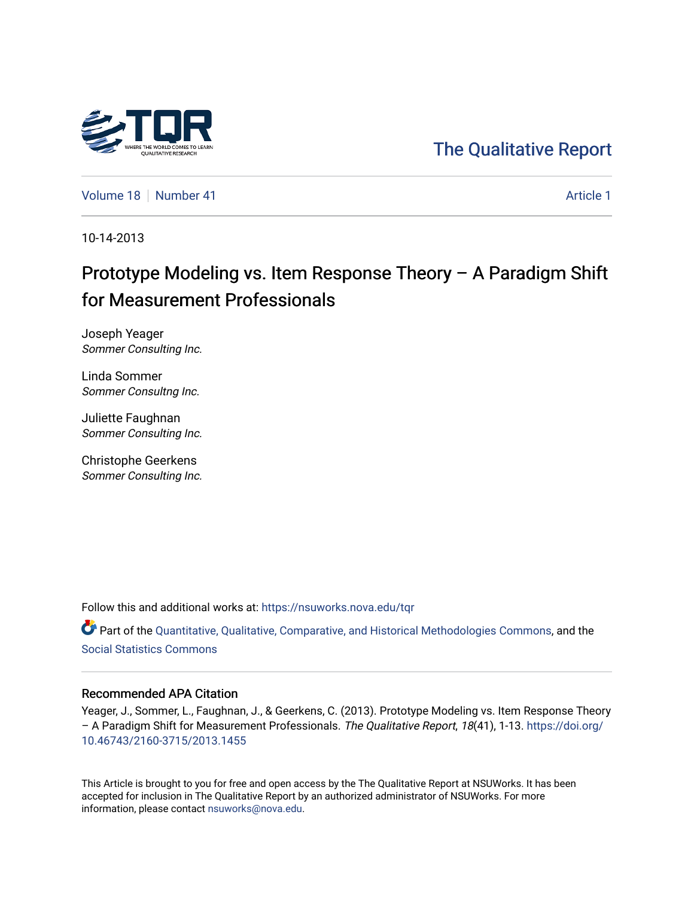

## [The Qualitative Report](https://nsuworks.nova.edu/tqr)

[Volume 18](https://nsuworks.nova.edu/tqr/vol18) [Number 41](https://nsuworks.nova.edu/tqr/vol18/iss41) [Article 1](https://nsuworks.nova.edu/tqr/vol18/iss41/1) Article 1

10-14-2013

# Prototype Modeling vs. Item Response Theory – A P aradigm Shift for Measurement Professionals

Joseph Yeager Sommer Consulting Inc.

Linda Sommer Sommer Consultng Inc.

Juliette Faughnan Sommer Consulting Inc.

Christophe Geerkens Sommer Consulting Inc.

Follow this and additional works at: [https://nsuworks.nova.edu/tqr](https://nsuworks.nova.edu/tqr?utm_source=nsuworks.nova.edu%2Ftqr%2Fvol18%2Fiss41%2F1&utm_medium=PDF&utm_campaign=PDFCoverPages) 

Part of the [Quantitative, Qualitative, Comparative, and Historical Methodologies Commons,](http://network.bepress.com/hgg/discipline/423?utm_source=nsuworks.nova.edu%2Ftqr%2Fvol18%2Fiss41%2F1&utm_medium=PDF&utm_campaign=PDFCoverPages) and the [Social Statistics Commons](http://network.bepress.com/hgg/discipline/1275?utm_source=nsuworks.nova.edu%2Ftqr%2Fvol18%2Fiss41%2F1&utm_medium=PDF&utm_campaign=PDFCoverPages) 

#### Recommended APA Citation

Yeager, J., Sommer, L., Faughnan, J., & Geerkens, C. (2013). Prototype Modeling vs. Item Response Theory – A Paradigm Shift for Measurement Professionals. The Qualitative Report, 18(41), 1-13. [https://doi.org/](https://doi.org/10.46743/2160-3715/2013.1455) [10.46743/2160-3715/2013.1455](https://doi.org/10.46743/2160-3715/2013.1455)

This Article is brought to you for free and open access by the The Qualitative Report at NSUWorks. It has been accepted for inclusion in The Qualitative Report by an authorized administrator of NSUWorks. For more information, please contact [nsuworks@nova.edu.](mailto:nsuworks@nova.edu)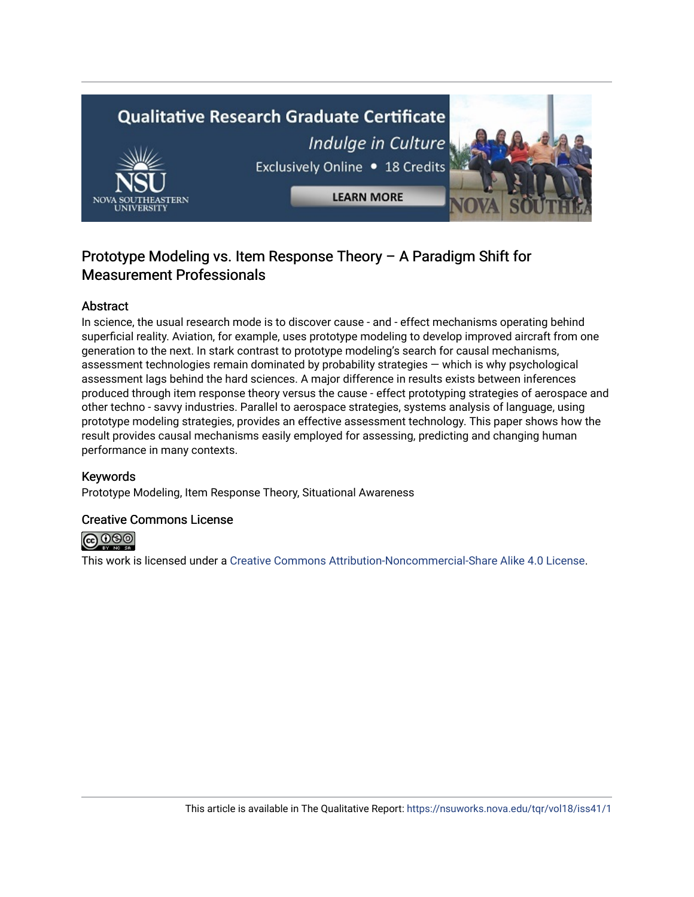# **Qualitative Research Graduate Certificate** Indulge in Culture Exclusively Online . 18 Credits **LEARN MORE**

### Prototype Modeling vs. Item Response Theory – A P aradigm Shift for Measurement Professionals

#### **Abstract**

In science, the usual research mode is to discover cause - and - effect mechanisms operating behind superficial reality. Aviation, for example, uses prototype modeling to develop improved aircraft from one generation to the next. In stark contrast to prototype modeling's search for causal mechanisms, assessment technologies remain dominated by probability strategies — which is why psychological assessment lags behind the hard sciences. A major difference in results exists between inferences produced through item response theory versus the cause - effect prototyping strategies of aerospace and other techno - savvy industries. Parallel to aerospace strategies, systems analysis of language, using prototype modeling strategies, provides an effective assessment technology. This paper shows how the result provides causal mechanisms easily employed for assessing, predicting and changing human performance in many contexts.

#### Keywords

Prototype Modeling, Item Response Theory, Situational Awareness

#### Creative Commons License



This work is licensed under a [Creative Commons Attribution-Noncommercial-Share Alike 4.0 License](https://creativecommons.org/licenses/by-nc-sa/4.0/).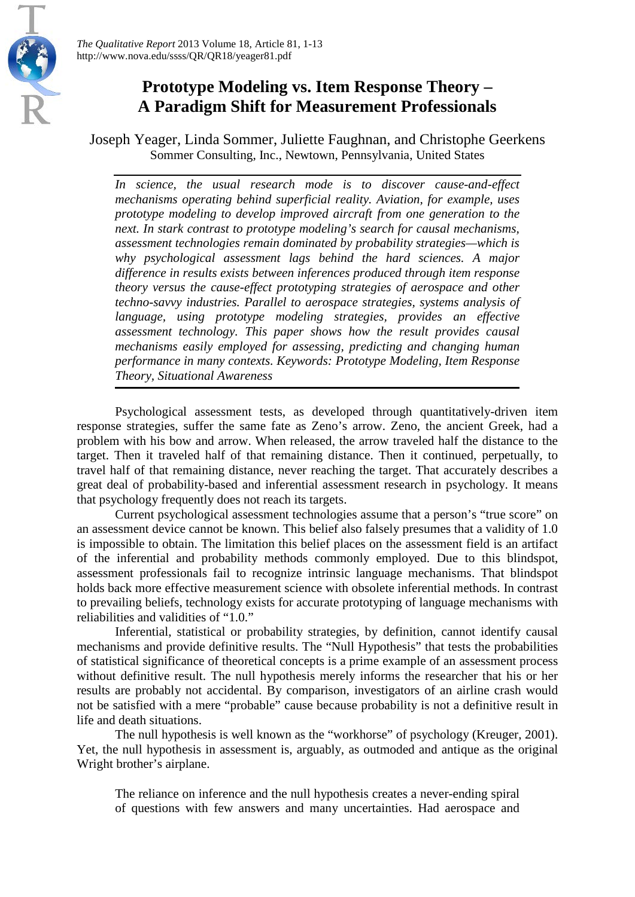

*The Qualitative Report* 2013 Volume 18, Article 81, 1-13 http://www.nova.edu/ssss/QR/QR18/yeager81.pdf

## **Prototype Modeling vs. Item Response Theory – A Paradigm Shift for Measurement Professionals**

Joseph Yeager, Linda Sommer, Juliette Faughnan, and Christophe Geerkens Sommer Consulting, Inc., Newtown, Pennsylvania, United States

*In science, the usual research mode is to discover cause-and-effect mechanisms operating behind superficial reality. Aviation, for example, uses prototype modeling to develop improved aircraft from one generation to the next. In stark contrast to prototype modeling's search for causal mechanisms, assessment technologies remain dominated by probability strategies—which is why psychological assessment lags behind the hard sciences. A major difference in results exists between inferences produced through item response theory versus the cause-effect prototyping strategies of aerospace and other techno-savvy industries. Parallel to aerospace strategies, systems analysis of language, using prototype modeling strategies, provides an effective assessment technology. This paper shows how the result provides causal mechanisms easily employed for assessing, predicting and changing human performance in many contexts. Keywords: Prototype Modeling, Item Response Theory, Situational Awareness*

Psychological assessment tests, as developed through quantitatively-driven item response strategies, suffer the same fate as Zeno's arrow. Zeno, the ancient Greek, had a problem with his bow and arrow. When released, the arrow traveled half the distance to the target. Then it traveled half of that remaining distance. Then it continued, perpetually, to travel half of that remaining distance, never reaching the target. That accurately describes a great deal of probability-based and inferential assessment research in psychology. It means that psychology frequently does not reach its targets.

Current psychological assessment technologies assume that a person's "true score" on an assessment device cannot be known. This belief also falsely presumes that a validity of 1.0 is impossible to obtain. The limitation this belief places on the assessment field is an artifact of the inferential and probability methods commonly employed. Due to this blindspot, assessment professionals fail to recognize intrinsic language mechanisms. That blindspot holds back more effective measurement science with obsolete inferential methods. In contrast to prevailing beliefs, technology exists for accurate prototyping of language mechanisms with reliabilities and validities of "1.0."

Inferential, statistical or probability strategies, by definition, cannot identify causal mechanisms and provide definitive results. The "Null Hypothesis" that tests the probabilities of statistical significance of theoretical concepts is a prime example of an assessment process without definitive result. The null hypothesis merely informs the researcher that his or her results are probably not accidental. By comparison, investigators of an airline crash would not be satisfied with a mere "probable" cause because probability is not a definitive result in life and death situations.

The null hypothesis is well known as the "workhorse" of psychology (Kreuger, 2001). Yet, the null hypothesis in assessment is, arguably, as outmoded and antique as the original Wright brother's airplane.

The reliance on inference and the null hypothesis creates a never-ending spiral of questions with few answers and many uncertainties. Had aerospace and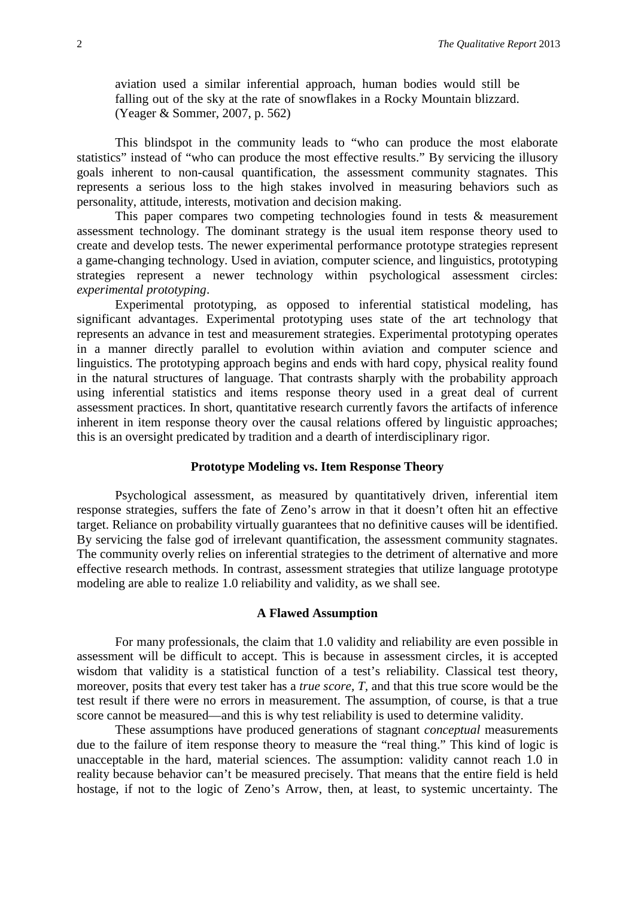aviation used a similar inferential approach, human bodies would still be falling out of the sky at the rate of snowflakes in a Rocky Mountain blizzard. (Yeager & Sommer, 2007, p. 562)

This blindspot in the community leads to "who can produce the most elaborate statistics" instead of "who can produce the most effective results." By servicing the illusory goals inherent to non-causal quantification, the assessment community stagnates. This represents a serious loss to the high stakes involved in measuring behaviors such as personality, attitude, interests, motivation and decision making.

This paper compares two competing technologies found in tests & measurement assessment technology. The dominant strategy is the usual item response theory used to create and develop tests. The newer experimental performance prototype strategies represent a game-changing technology. Used in aviation, computer science, and linguistics, prototyping strategies represent a newer technology within psychological assessment circles: *experimental prototyping*.

Experimental prototyping, as opposed to inferential statistical modeling, has significant advantages. Experimental prototyping uses state of the art technology that represents an advance in test and measurement strategies. Experimental prototyping operates in a manner directly parallel to evolution within aviation and computer science and linguistics. The prototyping approach begins and ends with hard copy, physical reality found in the natural structures of language. That contrasts sharply with the probability approach using inferential statistics and items response theory used in a great deal of current assessment practices. In short, quantitative research currently favors the artifacts of inference inherent in item response theory over the causal relations offered by linguistic approaches; this is an oversight predicated by tradition and a dearth of interdisciplinary rigor.

#### **Prototype Modeling vs. Item Response Theory**

Psychological assessment, as measured by quantitatively driven, inferential item response strategies, suffers the fate of Zeno's arrow in that it doesn't often hit an effective target. Reliance on probability virtually guarantees that no definitive causes will be identified. By servicing the false god of irrelevant quantification, the assessment community stagnates. The community overly relies on inferential strategies to the detriment of alternative and more effective research methods. In contrast, assessment strategies that utilize language prototype modeling are able to realize 1.0 reliability and validity, as we shall see.

#### **A Flawed Assumption**

For many professionals, the claim that 1.0 validity and reliability are even possible in assessment will be difficult to accept. This is because in assessment circles, it is accepted wisdom that validity is a statistical function of a test's reliability. Classical test theory, moreover, posits that every test taker has a *true score, T,* and that this true score would be the test result if there were no errors in measurement. The assumption, of course, is that a true score cannot be measured—and this is why test reliability is used to determine validity.

These assumptions have produced generations of stagnant *conceptual* measurements due to the failure of item response theory to measure the "real thing." This kind of logic is unacceptable in the hard, material sciences. The assumption: validity cannot reach 1.0 in reality because behavior can't be measured precisely. That means that the entire field is held hostage, if not to the logic of Zeno's Arrow, then, at least, to systemic uncertainty. The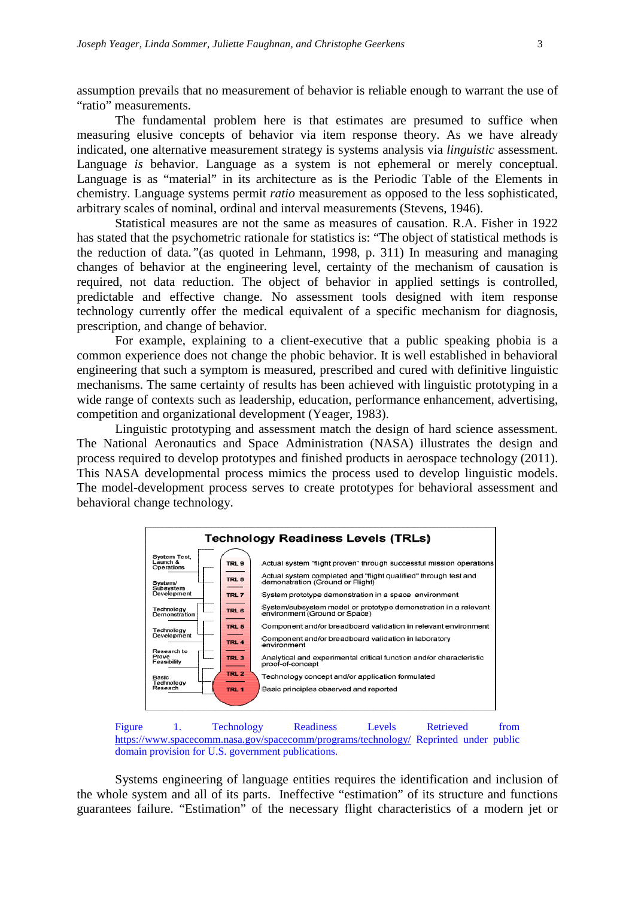assumption prevails that no measurement of behavior is reliable enough to warrant the use of "ratio" measurements.

The fundamental problem here is that estimates are presumed to suffice when measuring elusive concepts of behavior via item response theory. As we have already indicated, one alternative measurement strategy is systems analysis via *linguistic* assessment. Language *is* behavior. Language as a system is not ephemeral or merely conceptual. Language is as "material" in its architecture as is the Periodic Table of the Elements in chemistry. Language systems permit *ratio* measurement as opposed to the less sophisticated, arbitrary scales of nominal, ordinal and interval measurements (Stevens, 1946).

Statistical measures are not the same as measures of causation. R.A. Fisher in 1922 has stated that the psychometric rationale for statistics is: "The object of statistical methods is the reduction of data*."*(as quoted in Lehmann, 1998, p. 311) In measuring and managing changes of behavior at the engineering level, certainty of the mechanism of causation is required, not data reduction. The object of behavior in applied settings is controlled, predictable and effective change. No assessment tools designed with item response technology currently offer the medical equivalent of a specific mechanism for diagnosis, prescription, and change of behavior.

For example, explaining to a client-executive that a public speaking phobia is a common experience does not change the phobic behavior. It is well established in behavioral engineering that such a symptom is measured, prescribed and cured with definitive linguistic mechanisms. The same certainty of results has been achieved with linguistic prototyping in a wide range of contexts such as leadership, education, performance enhancement, advertising, competition and organizational development (Yeager, 1983).

Linguistic prototyping and assessment match the design of hard science assessment. The National Aeronautics and Space Administration (NASA) illustrates the design and process required to develop prototypes and finished products in aerospace technology (2011). This NASA developmental process mimics the process used to develop linguistic models. The model-development process serves to create prototypes for behavioral assessment and behavioral change technology.





Systems engineering of language entities requires the identification and inclusion of the whole system and all of its parts. Ineffective "estimation" of its structure and functions guarantees failure. "Estimation" of the necessary flight characteristics of a modern jet or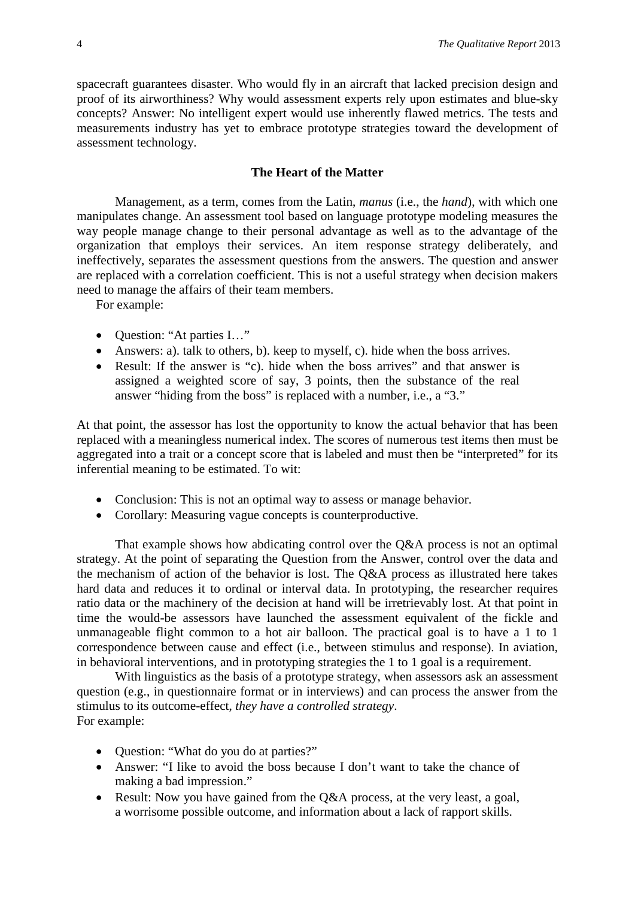spacecraft guarantees disaster. Who would fly in an aircraft that lacked precision design and proof of its airworthiness? Why would assessment experts rely upon estimates and blue-sky concepts? Answer: No intelligent expert would use inherently flawed metrics. The tests and measurements industry has yet to embrace prototype strategies toward the development of assessment technology.

#### **The Heart of the Matter**

Management, as a term, comes from the Latin, *manus* (i.e., the *hand*), with which one manipulates change. An assessment tool based on language prototype modeling measures the way people manage change to their personal advantage as well as to the advantage of the organization that employs their services. An item response strategy deliberately, and ineffectively, separates the assessment questions from the answers. The question and answer are replaced with a correlation coefficient. This is not a useful strategy when decision makers need to manage the affairs of their team members.

For example:

- Question: "At parties I..."
- Answers: a). talk to others, b). keep to myself, c). hide when the boss arrives.
- Result: If the answer is "c). hide when the boss arrives" and that answer is assigned a weighted score of say, 3 points, then the substance of the real answer "hiding from the boss" is replaced with a number, i.e., a "3."

At that point, the assessor has lost the opportunity to know the actual behavior that has been replaced with a meaningless numerical index. The scores of numerous test items then must be aggregated into a trait or a concept score that is labeled and must then be "interpreted" for its inferential meaning to be estimated. To wit:

- Conclusion: This is not an optimal way to assess or manage behavior.
- Corollary: Measuring vague concepts is counterproductive.

That example shows how abdicating control over the Q&A process is not an optimal strategy. At the point of separating the Question from the Answer, control over the data and the mechanism of action of the behavior is lost. The Q&A process as illustrated here takes hard data and reduces it to ordinal or interval data. In prototyping, the researcher requires ratio data or the machinery of the decision at hand will be irretrievably lost. At that point in time the would-be assessors have launched the assessment equivalent of the fickle and unmanageable flight common to a hot air balloon. The practical goal is to have a 1 to 1 correspondence between cause and effect (i.e., between stimulus and response). In aviation, in behavioral interventions, and in prototyping strategies the 1 to 1 goal is a requirement.

With linguistics as the basis of a prototype strategy, when assessors ask an assessment question (e.g., in questionnaire format or in interviews) and can process the answer from the stimulus to its outcome-effect, *they have a controlled strategy*. For example:

- Question: "What do you do at parties?"
- Answer: "I like to avoid the boss because I don't want to take the chance of making a bad impression."
- Result: Now you have gained from the Q&A process, at the very least, a goal, a worrisome possible outcome, and information about a lack of rapport skills.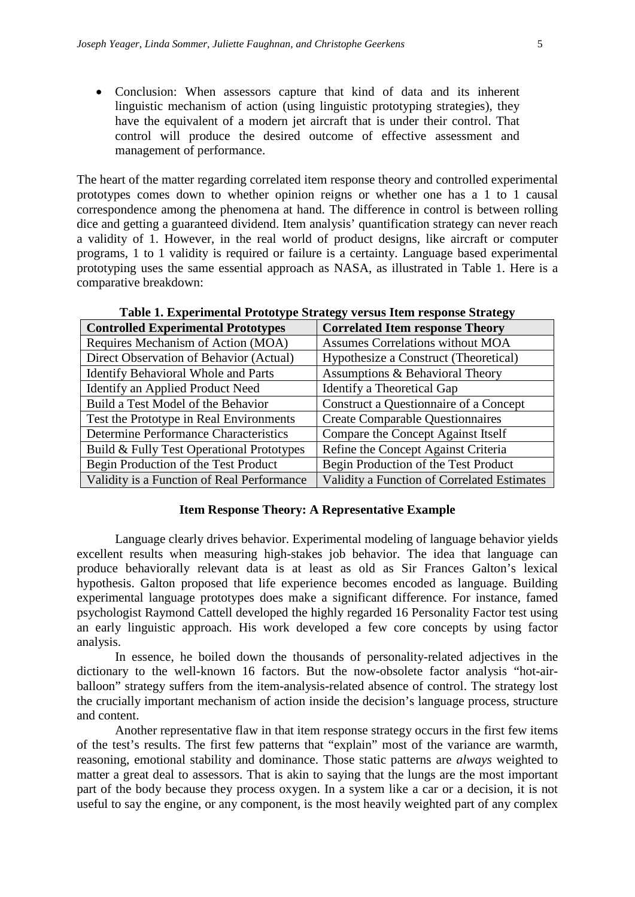• Conclusion: When assessors capture that kind of data and its inherent linguistic mechanism of action (using linguistic prototyping strategies), they have the equivalent of a modern jet aircraft that is under their control. That control will produce the desired outcome of effective assessment and management of performance.

The heart of the matter regarding correlated item response theory and controlled experimental prototypes comes down to whether opinion reigns or whether one has a 1 to 1 causal correspondence among the phenomena at hand. The difference in control is between rolling dice and getting a guaranteed dividend. Item analysis' quantification strategy can never reach a validity of 1. However, in the real world of product designs, like aircraft or computer programs, 1 to 1 validity is required or failure is a certainty. Language based experimental prototyping uses the same essential approach as NASA, as illustrated in Table 1. Here is a comparative breakdown:

| <b>Controlled Experimental Prototypes</b>    | <b>Correlated Item response Theory</b>      |
|----------------------------------------------|---------------------------------------------|
| Requires Mechanism of Action (MOA)           | <b>Assumes Correlations without MOA</b>     |
| Direct Observation of Behavior (Actual)      | Hypothesize a Construct (Theoretical)       |
| <b>Identify Behavioral Whole and Parts</b>   | Assumptions & Behavioral Theory             |
| Identify an Applied Product Need             | Identify a Theoretical Gap                  |
| Build a Test Model of the Behavior           | Construct a Questionnaire of a Concept      |
| Test the Prototype in Real Environments      | <b>Create Comparable Questionnaires</b>     |
| <b>Determine Performance Characteristics</b> | Compare the Concept Against Itself          |
| Build & Fully Test Operational Prototypes    | Refine the Concept Against Criteria         |
| Begin Production of the Test Product         | Begin Production of the Test Product        |
| Validity is a Function of Real Performance   | Validity a Function of Correlated Estimates |

**Table 1. Experimental Prototype Strategy versus Item response Strategy**

#### **Item Response Theory: A Representative Example**

Language clearly drives behavior. Experimental modeling of language behavior yields excellent results when measuring high-stakes job behavior. The idea that language can produce behaviorally relevant data is at least as old as Sir Frances Galton's lexical hypothesis. Galton proposed that life experience becomes encoded as language. Building experimental language prototypes does make a significant difference. For instance, famed psychologist Raymond Cattell developed the highly regarded 16 Personality Factor test using an early linguistic approach. His work developed a few core concepts by using factor analysis.

In essence, he boiled down the thousands of personality-related adjectives in the dictionary to the well-known 16 factors. But the now-obsolete factor analysis "hot-airballoon" strategy suffers from the item-analysis-related absence of control. The strategy lost the crucially important mechanism of action inside the decision's language process, structure and content.

Another representative flaw in that item response strategy occurs in the first few items of the test's results. The first few patterns that "explain" most of the variance are warmth, reasoning, emotional stability and dominance. Those static patterns are *always* weighted to matter a great deal to assessors. That is akin to saying that the lungs are the most important part of the body because they process oxygen. In a system like a car or a decision, it is not useful to say the engine, or any component, is the most heavily weighted part of any complex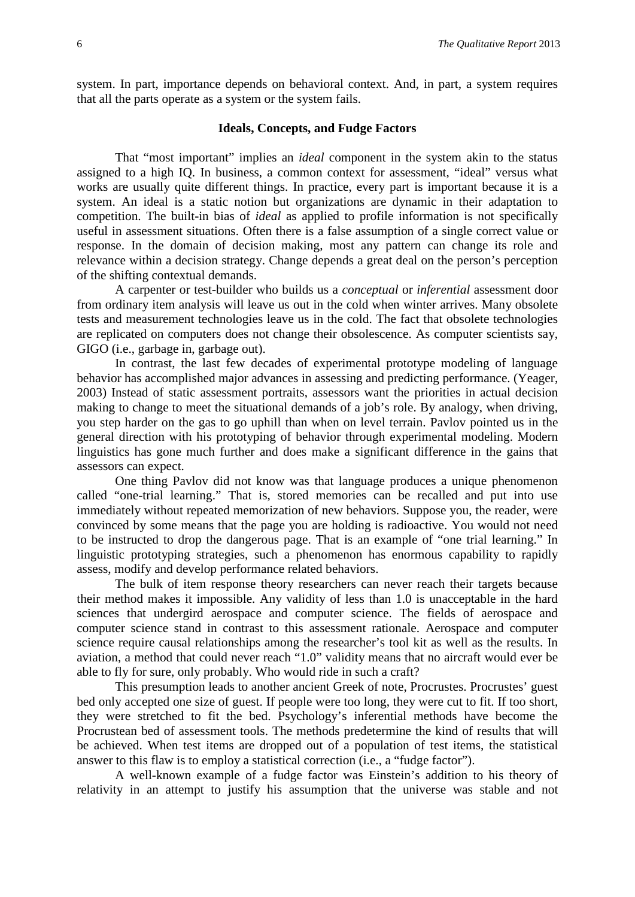system. In part, importance depends on behavioral context. And, in part, a system requires that all the parts operate as a system or the system fails.

#### **Ideals, Concepts, and Fudge Factors**

That "most important" implies an *ideal* component in the system akin to the status assigned to a high IQ. In business, a common context for assessment, "ideal" versus what works are usually quite different things. In practice, every part is important because it is a system. An ideal is a static notion but organizations are dynamic in their adaptation to competition. The built-in bias of *ideal* as applied to profile information is not specifically useful in assessment situations. Often there is a false assumption of a single correct value or response. In the domain of decision making, most any pattern can change its role and relevance within a decision strategy. Change depends a great deal on the person's perception of the shifting contextual demands.

A carpenter or test-builder who builds us a *conceptual* or *inferential* assessment door from ordinary item analysis will leave us out in the cold when winter arrives. Many obsolete tests and measurement technologies leave us in the cold. The fact that obsolete technologies are replicated on computers does not change their obsolescence. As computer scientists say, GIGO (i.e., garbage in, garbage out).

In contrast, the last few decades of experimental prototype modeling of language behavior has accomplished major advances in assessing and predicting performance. (Yeager, 2003) Instead of static assessment portraits, assessors want the priorities in actual decision making to change to meet the situational demands of a job's role. By analogy, when driving, you step harder on the gas to go uphill than when on level terrain. Pavlov pointed us in the general direction with his prototyping of behavior through experimental modeling. Modern linguistics has gone much further and does make a significant difference in the gains that assessors can expect.

One thing Pavlov did not know was that language produces a unique phenomenon called "one-trial learning." That is, stored memories can be recalled and put into use immediately without repeated memorization of new behaviors. Suppose you, the reader, were convinced by some means that the page you are holding is radioactive. You would not need to be instructed to drop the dangerous page. That is an example of "one trial learning." In linguistic prototyping strategies, such a phenomenon has enormous capability to rapidly assess, modify and develop performance related behaviors.

The bulk of item response theory researchers can never reach their targets because their method makes it impossible. Any validity of less than 1.0 is unacceptable in the hard sciences that undergird aerospace and computer science. The fields of aerospace and computer science stand in contrast to this assessment rationale. Aerospace and computer science require causal relationships among the researcher's tool kit as well as the results. In aviation, a method that could never reach "1.0" validity means that no aircraft would ever be able to fly for sure, only probably. Who would ride in such a craft?

This presumption leads to another ancient Greek of note, Procrustes. Procrustes' guest bed only accepted one size of guest. If people were too long, they were cut to fit. If too short, they were stretched to fit the bed. Psychology's inferential methods have become the Procrustean bed of assessment tools. The methods predetermine the kind of results that will be achieved. When test items are dropped out of a population of test items, the statistical answer to this flaw is to employ a statistical correction (i.e., a "fudge factor").

A well-known example of a fudge factor was Einstein's addition to his theory of relativity in an attempt to justify his assumption that the universe was stable and not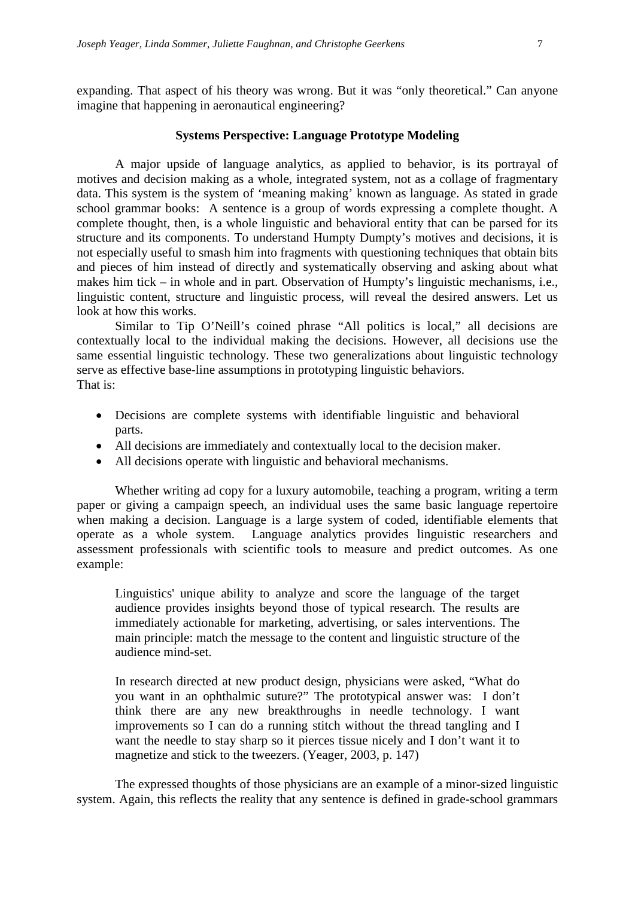expanding. That aspect of his theory was wrong. But it was "only theoretical." Can anyone imagine that happening in aeronautical engineering?

#### **Systems Perspective: Language Prototype Modeling**

A major upside of language analytics, as applied to behavior, is its portrayal of motives and decision making as a whole, integrated system, not as a collage of fragmentary data. This system is the system of 'meaning making' known as language. As stated in grade school grammar books: A sentence is a group of words expressing a complete thought. A complete thought, then, is a whole linguistic and behavioral entity that can be parsed for its structure and its components. To understand Humpty Dumpty's motives and decisions, it is not especially useful to smash him into fragments with questioning techniques that obtain bits and pieces of him instead of directly and systematically observing and asking about what makes him tick – in whole and in part. Observation of Humpty's linguistic mechanisms, i.e., linguistic content, structure and linguistic process, will reveal the desired answers. Let us look at how this works.

Similar to Tip O'Neill's coined phrase "All politics is local," all decisions are contextually local to the individual making the decisions. However, all decisions use the same essential linguistic technology. These two generalizations about linguistic technology serve as effective base-line assumptions in prototyping linguistic behaviors. That is:

- Decisions are complete systems with identifiable linguistic and behavioral parts.
- All decisions are immediately and contextually local to the decision maker.
- All decisions operate with linguistic and behavioral mechanisms.

Whether writing ad copy for a luxury automobile, teaching a program, writing a term paper or giving a campaign speech, an individual uses the same basic language repertoire when making a decision. Language is a large system of coded, identifiable elements that operate as a whole system. Language analytics provides linguistic researchers and assessment professionals with scientific tools to measure and predict outcomes. As one example:

Linguistics' unique ability to analyze and score the language of the target audience provides insights beyond those of typical research. The results are immediately actionable for marketing, advertising, or sales interventions. The main principle: match the message to the content and linguistic structure of the audience mind-set.

In research directed at new product design, physicians were asked, "What do you want in an ophthalmic suture?" The prototypical answer was: I don't think there are any new breakthroughs in needle technology. I want improvements so I can do a running stitch without the thread tangling and I want the needle to stay sharp so it pierces tissue nicely and I don't want it to magnetize and stick to the tweezers. (Yeager, 2003, p. 147)

The expressed thoughts of those physicians are an example of a minor-sized linguistic system. Again, this reflects the reality that any sentence is defined in grade-school grammars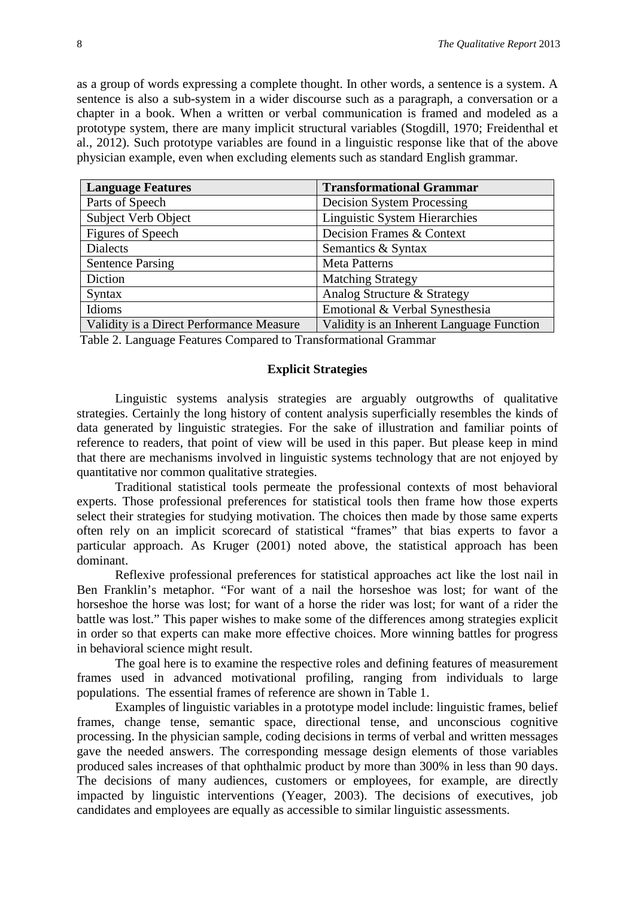as a group of words expressing a complete thought. In other words, a sentence is a system. A sentence is also a sub-system in a wider discourse such as a paragraph, a conversation or a chapter in a book. When a written or verbal communication is framed and modeled as a prototype system, there are many implicit structural variables (Stogdill, 1970; Freidenthal et al., 2012). Such prototype variables are found in a linguistic response like that of the above physician example, even when excluding elements such as standard English grammar.

| <b>Language Features</b>                 | <b>Transformational Grammar</b>           |
|------------------------------------------|-------------------------------------------|
| Parts of Speech                          | <b>Decision System Processing</b>         |
| Subject Verb Object                      | <b>Linguistic System Hierarchies</b>      |
| Figures of Speech                        | Decision Frames & Context                 |
| <b>Dialects</b>                          | Semantics & Syntax                        |
| <b>Sentence Parsing</b>                  | <b>Meta Patterns</b>                      |
| Diction                                  | <b>Matching Strategy</b>                  |
| Syntax                                   | Analog Structure & Strategy               |
| Idioms                                   | Emotional & Verbal Synesthesia            |
| Validity is a Direct Performance Measure | Validity is an Inherent Language Function |

Table 2. Language Features Compared to Transformational Grammar

#### **Explicit Strategies**

Linguistic systems analysis strategies are arguably outgrowths of qualitative strategies. Certainly the long history of content analysis superficially resembles the kinds of data generated by linguistic strategies. For the sake of illustration and familiar points of reference to readers, that point of view will be used in this paper. But please keep in mind that there are mechanisms involved in linguistic systems technology that are not enjoyed by quantitative nor common qualitative strategies.

Traditional statistical tools permeate the professional contexts of most behavioral experts. Those professional preferences for statistical tools then frame how those experts select their strategies for studying motivation. The choices then made by those same experts often rely on an implicit scorecard of statistical "frames" that bias experts to favor a particular approach. As Kruger (2001) noted above, the statistical approach has been dominant.

Reflexive professional preferences for statistical approaches act like the lost nail in Ben Franklin's metaphor. "For want of a nail the horseshoe was lost; for want of the horseshoe the horse was lost; for want of a horse the rider was lost; for want of a rider the battle was lost." This paper wishes to make some of the differences among strategies explicit in order so that experts can make more effective choices. More winning battles for progress in behavioral science might result.

The goal here is to examine the respective roles and defining features of measurement frames used in advanced motivational profiling, ranging from individuals to large populations. The essential frames of reference are shown in Table 1.

Examples of linguistic variables in a prototype model include: linguistic frames, belief frames, change tense, semantic space, directional tense, and unconscious cognitive processing. In the physician sample, coding decisions in terms of verbal and written messages gave the needed answers. The corresponding message design elements of those variables produced sales increases of that ophthalmic product by more than 300% in less than 90 days. The decisions of many audiences, customers or employees, for example, are directly impacted by linguistic interventions (Yeager, 2003). The decisions of executives, job candidates and employees are equally as accessible to similar linguistic assessments.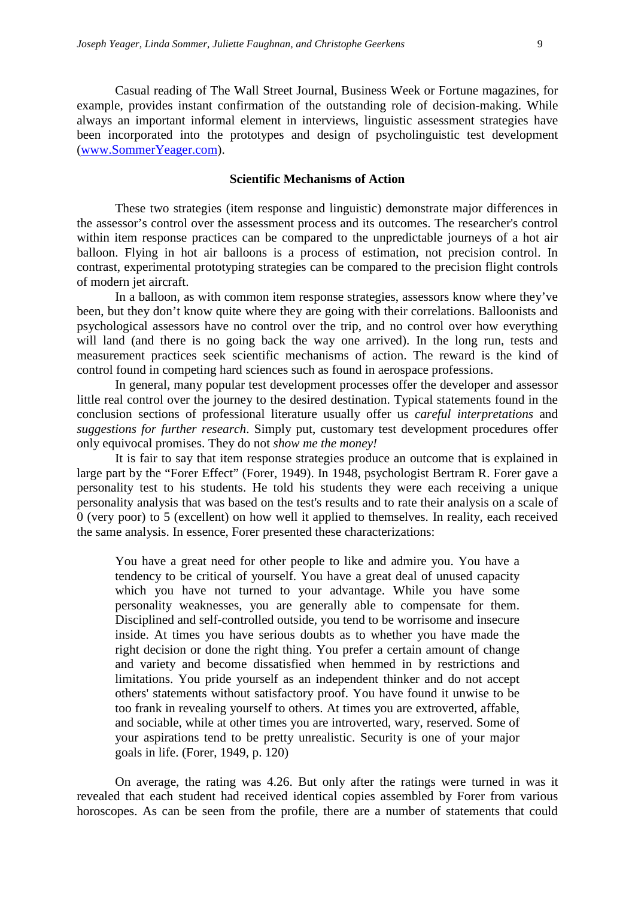Casual reading of The Wall Street Journal, Business Week or Fortune magazines, for example, provides instant confirmation of the outstanding role of decision-making. While always an important informal element in interviews, linguistic assessment strategies have been incorporated into the prototypes and design of psycholinguistic test development [\(www.SommerYeager.com\)](http://www.sommeryeager.com/).

#### **Scientific Mechanisms of Action**

These two strategies (item response and linguistic) demonstrate major differences in the assessor's control over the assessment process and its outcomes. The researcher's control within item response practices can be compared to the unpredictable journeys of a hot air balloon. Flying in hot air balloons is a process of estimation, not precision control. In contrast, experimental prototyping strategies can be compared to the precision flight controls of modern jet aircraft.

In a balloon, as with common item response strategies, assessors know where they've been, but they don't know quite where they are going with their correlations. Balloonists and psychological assessors have no control over the trip, and no control over how everything will land (and there is no going back the way one arrived). In the long run, tests and measurement practices seek scientific mechanisms of action. The reward is the kind of control found in competing hard sciences such as found in aerospace professions.

In general, many popular test development processes offer the developer and assessor little real control over the journey to the desired destination. Typical statements found in the conclusion sections of professional literature usually offer us *careful interpretations* and *suggestions for further research*. Simply put, customary test development procedures offer only equivocal promises. They do not *show me the money!*

It is fair to say that item response strategies produce an outcome that is explained in large part by the "Forer Effect" (Forer, 1949). In 1948, psychologist Bertram R. Forer gave a personality test to his students. He told his students they were each receiving a unique personality analysis that was based on the test's results and to rate their analysis on a scale of 0 (very poor) to 5 (excellent) on how well it applied to themselves. In reality, each received the same analysis. In essence, Forer presented these characterizations:

You have a great need for other people to like and admire you. You have a tendency to be critical of yourself. You have a great deal of unused capacity which you have not turned to your advantage. While you have some personality weaknesses, you are generally able to compensate for them. Disciplined and self-controlled outside, you tend to be worrisome and insecure inside. At times you have serious doubts as to whether you have made the right decision or done the right thing. You prefer a certain amount of change and variety and become dissatisfied when hemmed in by restrictions and limitations. You pride yourself as an independent thinker and do not accept others' statements without satisfactory proof. You have found it unwise to be too frank in revealing yourself to others. At times you are extroverted, affable, and sociable, while at other times you are introverted, wary, reserved. Some of your aspirations tend to be pretty unrealistic. Security is one of your major goals in life. (Forer, 1949, p. 120)

On average, the rating was 4.26. But only after the ratings were turned in was it revealed that each student had received identical copies assembled by Forer from various horoscopes. As can be seen from the profile, there are a number of statements that could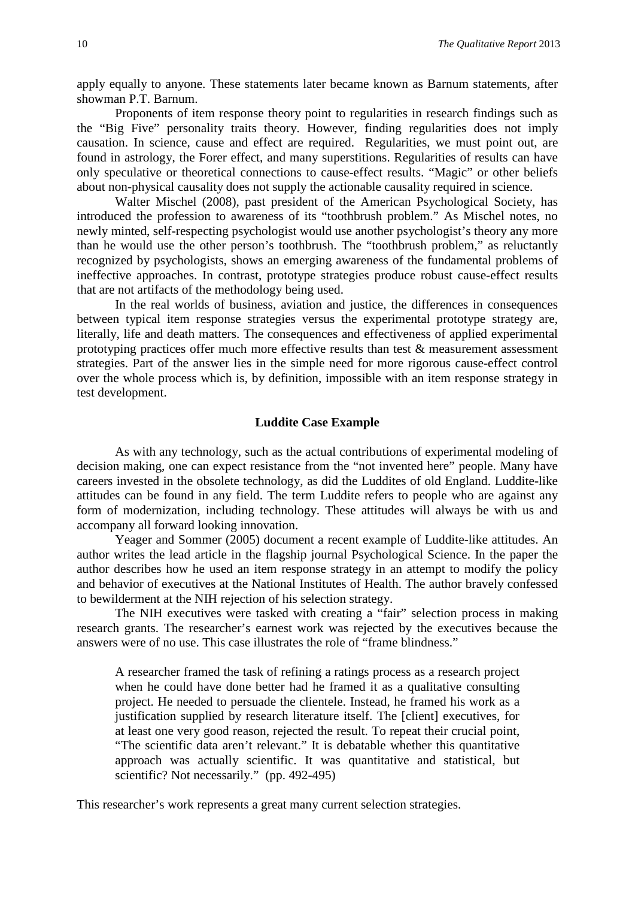apply equally to anyone. These statements later became known as Barnum statements, after showman P.T. Barnum.

Proponents of item response theory point to regularities in research findings such as the "Big Five" personality traits theory. However, finding regularities does not imply causation. In science, cause and effect are required. Regularities, we must point out, are found in astrology, the Forer effect, and many superstitions. Regularities of results can have only speculative or theoretical connections to cause-effect results. "Magic" or other beliefs about non-physical causality does not supply the actionable causality required in science.

Walter Mischel (2008), past president of the American Psychological Society, has introduced the profession to awareness of its "toothbrush problem." As Mischel notes, no newly minted, self-respecting psychologist would use another psychologist's theory any more than he would use the other person's toothbrush. The "toothbrush problem," as reluctantly recognized by psychologists, shows an emerging awareness of the fundamental problems of ineffective approaches. In contrast, prototype strategies produce robust cause-effect results that are not artifacts of the methodology being used.

In the real worlds of business, aviation and justice, the differences in consequences between typical item response strategies versus the experimental prototype strategy are, literally, life and death matters. The consequences and effectiveness of applied experimental prototyping practices offer much more effective results than test & measurement assessment strategies. Part of the answer lies in the simple need for more rigorous cause-effect control over the whole process which is, by definition, impossible with an item response strategy in test development.

#### **Luddite Case Example**

As with any technology, such as the actual contributions of experimental modeling of decision making, one can expect resistance from the "not invented here" people. Many have careers invested in the obsolete technology, as did the Luddites of old England. Luddite-like attitudes can be found in any field. The term Luddite refers to people who are against any form of modernization, including technology. These attitudes will always be with us and accompany all forward looking innovation.

Yeager and Sommer (2005) document a recent example of Luddite-like attitudes. An author writes the lead article in the flagship journal Psychological Science. In the paper the author describes how he used an item response strategy in an attempt to modify the policy and behavior of executives at the National Institutes of Health. The author bravely confessed to bewilderment at the NIH rejection of his selection strategy.

The NIH executives were tasked with creating a "fair" selection process in making research grants. The researcher's earnest work was rejected by the executives because the answers were of no use. This case illustrates the role of "frame blindness."

A researcher framed the task of refining a ratings process as a research project when he could have done better had he framed it as a qualitative consulting project. He needed to persuade the clientele. Instead, he framed his work as a justification supplied by research literature itself. The [client] executives, for at least one very good reason, rejected the result. To repeat their crucial point, "The scientific data aren't relevant." It is debatable whether this quantitative approach was actually scientific. It was quantitative and statistical, but scientific? Not necessarily." (pp. 492-495)

This researcher's work represents a great many current selection strategies.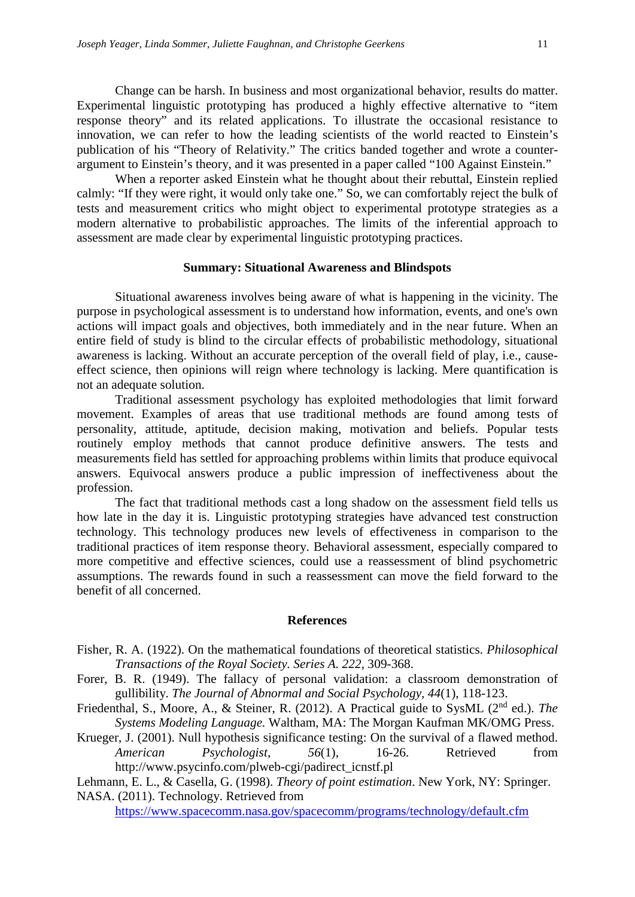Change can be harsh. In business and most organizational behavior, results do matter. Experimental linguistic prototyping has produced a highly effective alternative to "item response theory" and its related applications. To illustrate the occasional resistance to innovation, we can refer to how the leading scientists of the world reacted to Einstein's publication of his "Theory of Relativity." The critics banded together and wrote a counterargument to Einstein's theory, and it was presented in a paper called "100 Against Einstein."

When a reporter asked Einstein what he thought about their rebuttal, Einstein replied calmly: "If they were right, it would only take one." So, we can comfortably reject the bulk of tests and measurement critics who might object to experimental prototype strategies as a modern alternative to probabilistic approaches. The limits of the inferential approach to assessment are made clear by experimental linguistic prototyping practices.

#### **Summary: Situational Awareness and Blindspots**

Situational awareness involves being aware of what is happening in the vicinity. The purpose in psychological assessment is to understand how information, events, and one's own actions will impact goals and objectives, both immediately and in the near future. When an entire field of study is blind to the circular effects of probabilistic methodology, situational awareness is lacking. Without an accurate perception of the overall field of play, i.e., causeeffect science, then opinions will reign where technology is lacking. Mere quantification is not an adequate solution.

Traditional assessment psychology has exploited methodologies that limit forward movement. Examples of areas that use traditional methods are found among tests of personality, attitude, aptitude, decision making, motivation and beliefs. Popular tests routinely employ methods that cannot produce definitive answers. The tests and measurements field has settled for approaching problems within limits that produce equivocal answers. Equivocal answers produce a public impression of ineffectiveness about the profession.

The fact that traditional methods cast a long shadow on the assessment field tells us how late in the day it is. Linguistic prototyping strategies have advanced test construction technology. This technology produces new levels of effectiveness in comparison to the traditional practices of item response theory. Behavioral assessment, especially compared to more competitive and effective sciences, could use a reassessment of blind psychometric assumptions. The rewards found in such a reassessment can move the field forward to the benefit of all concerned.

#### **References**

- Fisher, R. A. (1922). On the mathematical foundations of theoretical statistics. *Philosophical Transactions of the Royal Society. Series A. 222,* 309-368.
- Forer, B. R. (1949). The fallacy of personal validation: a classroom demonstration of gullibility. *The Journal of Abnormal and Social Psychology, 44*(1), 118-123.
- Friedenthal, S., Moore, A., & Steiner, R. (2012). A Practical guide to SysML (2nd ed.). *The Systems Modeling Language.* Waltham, MA: The Morgan Kaufman MK/OMG Press.
- Krueger, J. (2001). Null hypothesis significance testing: On the survival of a flawed method. *American Psychologist*, *56*(1), 16-26. Retrieved from http://www.psycinfo.com/plweb-cgi/padirect\_icnstf.pl

Lehmann, E. L., & Casella, G. (1998). *Theory of point estimation*. New York, NY: Springer. NASA. (2011). Technology. Retrieved from

<https://www.spacecomm.nasa.gov/spacecomm/programs/technology/default.cfm>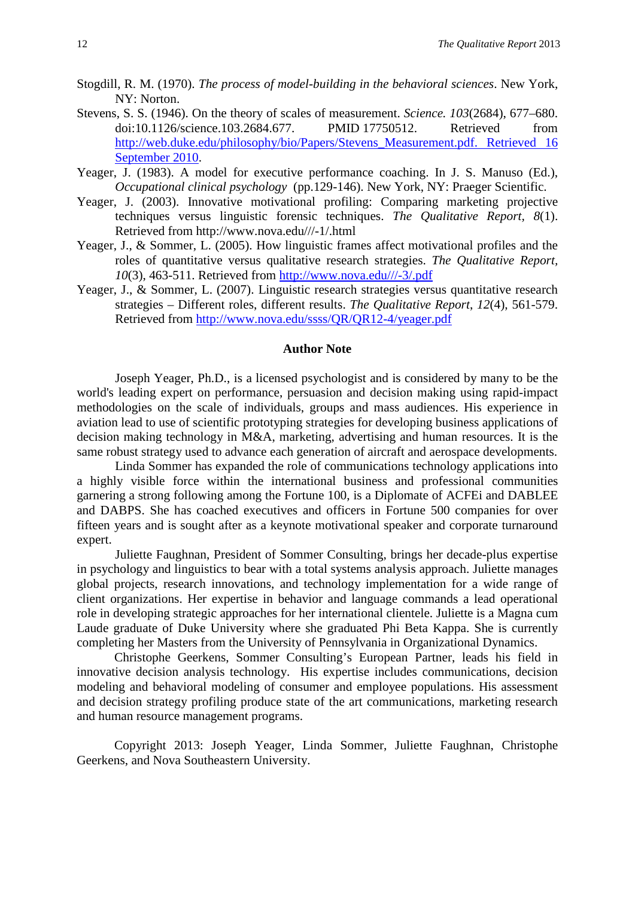- Stogdill, R. M. (1970). *The process of model-building in the behavioral sciences*. New York, NY: Norton.
- [Stevens, S. S.](http://en.wikipedia.org/wiki/Stanley_Smith_Stevens) (1946). [On the theory of scales of measurement.](http://web.duke.edu/philosophy/bio/Papers/Stevens_Measurement.pdf) *[Science.](http://en.wikipedia.org/wiki/Science_(journal)) 103*(2684), 677–680. [doi](http://en.wikipedia.org/wiki/Digital_object_identifier)[:10.1126/science.103.2684.677.](http://dx.doi.org/10.1126%2Fscience.103.2684.677) [PMID](http://en.wikipedia.org/wiki/PubMed_Identifier) [17750512.](http://www.ncbi.nlm.nih.gov/pubmed/17750512) Retrieved from [http://web.duke.edu/philosophy/bio/Papers/Stevens\\_Measurement.pdf. Retrieved 16](http://web.duke.edu/philosophy/bio/Papers/Stevens_Measurement.pdf.%20Retrieved%2016%20September%202010)  [September 2010.](http://web.duke.edu/philosophy/bio/Papers/Stevens_Measurement.pdf.%20Retrieved%2016%20September%202010)
- Yeager, J. (1983). A model for executive performance coaching. In J. S. Manuso (Ed.), *Occupational clinical psychology* (pp.129-146). New York, NY: Praeger Scientific.
- Yeager, J. (2003). Innovative motivational profiling: Comparing marketing projective techniques versus linguistic forensic techniques. *The Qualitative Report, 8*(1). Retrieved from http://www.nova.edu///-1/.html
- Yeager, J., & Sommer, L. (2005). How linguistic frames affect motivational profiles and the roles of quantitative versus qualitative research strategies. *The Qualitative Report, 10*(3), 463-511. Retrieved from [http://www.nova.edu///-3/.pdf](http://www.nova.edu/-3/.pdf)
- Yeager, J., & Sommer, L. (2007). Linguistic research strategies versus quantitative research strategies – Different roles, different results. *The Qualitative Report*, *12*(4), 561-579. Retrieved from<http://www.nova.edu/ssss/QR/QR12-4/yeager.pdf>

#### **Author Note**

Joseph Yeager, Ph.D., is a licensed psychologist and is considered by many to be the world's leading expert on performance, persuasion and decision making using rapid-impact methodologies on the scale of individuals, groups and mass audiences. His experience in aviation lead to use of scientific prototyping strategies for developing business applications of decision making technology in M&A, marketing, advertising and human resources. It is the same robust strategy used to advance each generation of aircraft and aerospace developments.

Linda Sommer has expanded the role of communications technology applications into a highly visible force within the international business and professional communities garnering a strong following among the Fortune 100, is a Diplomate of ACFEi and DABLEE and DABPS. She has coached executives and officers in Fortune 500 companies for over fifteen years and is sought after as a keynote motivational speaker and corporate turnaround expert.

Juliette Faughnan, President of Sommer Consulting, brings her decade-plus expertise in psychology and linguistics to bear with a total systems analysis approach. Juliette manages global projects, research innovations, and technology implementation for a wide range of client organizations. Her expertise in behavior and language commands a lead operational role in developing strategic approaches for her international clientele. Juliette is a Magna cum Laude graduate of Duke University where she graduated Phi Beta Kappa. She is currently completing her Masters from the University of Pennsylvania in Organizational Dynamics.

Christophe Geerkens, Sommer Consulting's European Partner, leads his field in innovative decision analysis technology. His expertise includes communications, decision modeling and behavioral modeling of consumer and employee populations. His assessment and decision strategy profiling produce state of the art communications, marketing research and human resource management programs.

Copyright 2013: Joseph Yeager, Linda Sommer, Juliette Faughnan, Christophe Geerkens, and Nova Southeastern University.